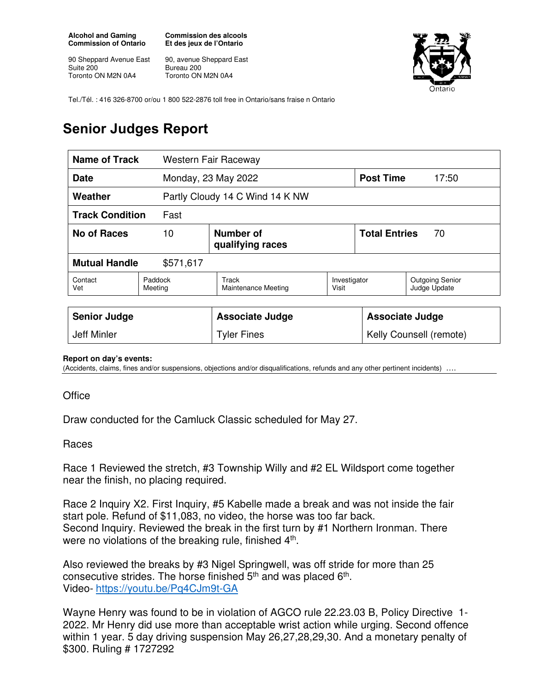**Alcohol and Gaming Commission of Ontario** 

90 Sheppard Avenue East Suite 200 Toronto ON M2N 0A4

**Commission des alcools Et des jeux de l'Ontario** 

90, avenue Sheppard East Bureau 200 Toronto ON M2N 0A4



Tel./Tél. : 416 326-8700 or/ou 1 800 522-2876 toll free in Ontario/sans fraise n Ontario

## **Senior Judges Report**

| Name of Track<br>Western Fair Raceway |                    |                                 |                       |                            |                                        |
|---------------------------------------|--------------------|---------------------------------|-----------------------|----------------------------|----------------------------------------|
| <b>Date</b>                           |                    | Monday, 23 May 2022             |                       | <b>Post Time</b>           | 17:50                                  |
| Weather                               |                    | Partly Cloudy 14 C Wind 14 K NW |                       |                            |                                        |
| <b>Track Condition</b><br>Fast        |                    |                                 |                       |                            |                                        |
| <b>No of Races</b>                    | 10                 | Number of<br>qualifying races   |                       | <b>Total Entries</b><br>70 |                                        |
| <b>Mutual Handle</b><br>\$571,617     |                    |                                 |                       |                            |                                        |
| Contact<br>Vet                        | Paddock<br>Meeting | Track<br>Maintenance Meeting    | Investigator<br>Visit |                            | <b>Outgoing Senior</b><br>Judge Update |
|                                       |                    |                                 |                       |                            |                                        |
| <b>Senior Judge</b>                   |                    | <b>Associate Judge</b>          |                       | <b>Associate Judge</b>     |                                        |
| Jeff Minler                           |                    | <b>Tyler Fines</b>              |                       | Kelly Counsell (remote)    |                                        |

## **Report on day's events:**

(Accidents, claims, fines and/or suspensions, objections and/or disqualifications, refunds and any other pertinent incidents)

## **Office**

Draw conducted for the Camluck Classic scheduled for May 27.

## Races

Race 1 Reviewed the stretch, #3 Township Willy and #2 EL Wildsport come together near the finish, no placing required.

Race 2 Inquiry X2. First Inquiry, #5 Kabelle made a break and was not inside the fair start pole. Refund of \$11,083, no video, the horse was too far back. Second Inquiry. Reviewed the break in the first turn by #1 Northern Ironman. There were no violations of the breaking rule, finished 4<sup>th</sup>.

Also reviewed the breaks by #3 Nigel Springwell, was off stride for more than 25 consecutive strides. The horse finished  $5<sup>th</sup>$  and was placed  $6<sup>th</sup>$ . Video- https://youtu.be/Pq4CJm9t-GA

Wayne Henry was found to be in violation of AGCO rule 22.23.03 B, Policy Directive 1- 2022. Mr Henry did use more than acceptable wrist action while urging. Second offence within 1 year. 5 day driving suspension May 26,27,28,29,30. And a monetary penalty of \$300. Ruling # 1727292